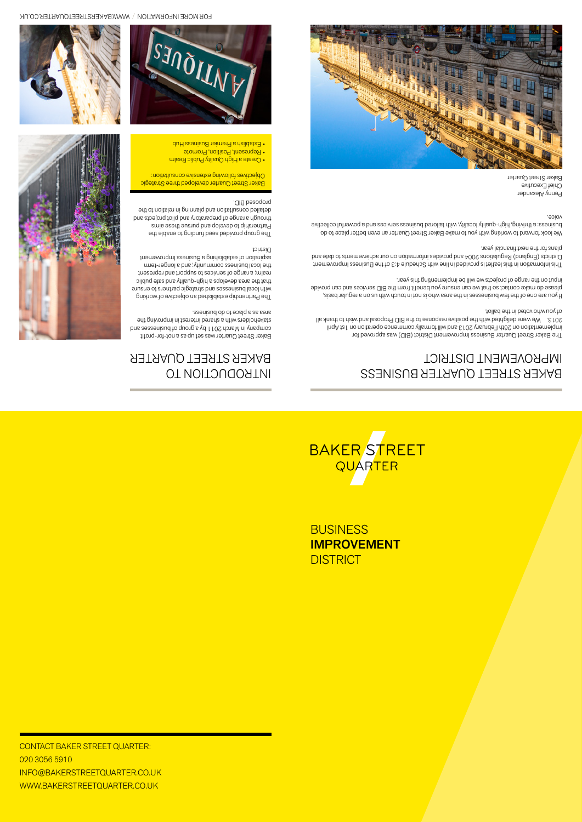

**BUSINESS IMPROVEMENT DISTRICT** 

CONTACT BAKER STREET QUARTER: 020 3056 5910 info@bakerstreetquarter.co.uk www.bakerstreetquarter.co.uk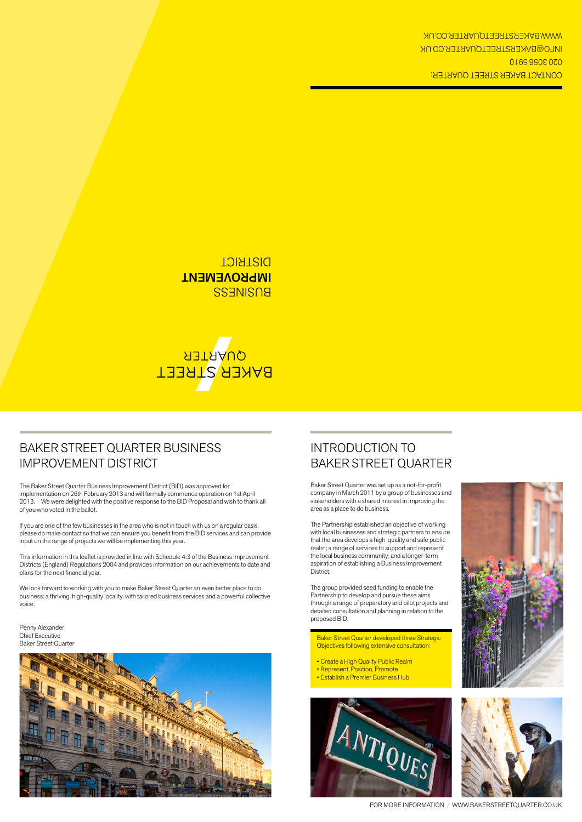## Baker Street Quarter Business Improvement District

The Baker Street Quarter Business Improvement District (BID) was approved for implementation on 26th February 2013 and will formally commence operation on 1st April 2013. We were delighted with the positive response to the BID Proposal and wish to thank all of you who voted in the ballot.

If you are one of the few businesses in the area who is not in touch with us on a regular basis, please do make contact so that we can ensure you benefit from the BID services and can provide input on the range of projects we will be implementing this year.

This information in this leaflet is provided in line with Schedule 4:3 of the Business Improvement Districts (England) Regulations 2004 and provides information on our achievements to date and plans for the next financial year.

We look forward to working with you to make Baker Street Quarter an even better place to do business: a thriving, high-quality locality, with tailored business services and a powerful collective voice.

Penny Alexander Chief Executive Baker Street Quarter



## Introduction to Baker Street Quarter

Baker Street Quarter was set up as a not-for-profit company in March 2011 by a group of businesses and stakeholders with a shared interest in improving the area as a place to do business.

The Partnership established an objective of working with local businesses and strategic partners to ensure that the area develops a high-quality and safe public realm; a range of services to support and represent the local business community; and a longer-term aspiration of establishing a Business Improvement District.

The group provided seed funding to enable the Partnership to develop and pursue these aims through a range of preparatory and pilot projects and detailed consultation and planning in relation to the proposed BID.

Baker Street Quarter developed three Strategic Objectives following extensive consultation:

- Create a High Quality Public Realm
- Represent, Position, Promote
- Establish a Premier Business Hub







FOR MORE INFORMATION / www.bakerstreetquarter.co.uk